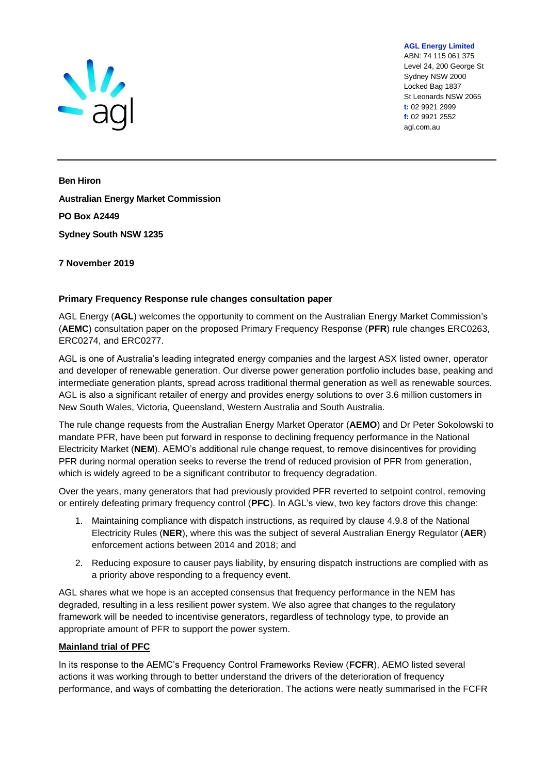

ABN: 74 115 061 375 Level 24, 200 George St Sydney NSW 2000 Locked Bag 1837 St Leonards NSW 2065 **t:** 02 9921 2999 **f:** 02 9921 2552 agl.com.au

**AGL Energy Limited**

**Ben Hiron Australian Energy Market Commission PO Box A2449 Sydney South NSW 1235**

# **7 November 2019**

# **Primary Frequency Response rule changes consultation paper**

AGL Energy (**AGL**) welcomes the opportunity to comment on the Australian Energy Market Commission's (**AEMC**) consultation paper on the proposed Primary Frequency Response (**PFR**) rule changes ERC0263, ERC0274, and ERC0277.

AGL is one of Australia's leading integrated energy companies and the largest ASX listed owner, operator and developer of renewable generation. Our diverse power generation portfolio includes base, peaking and intermediate generation plants, spread across traditional thermal generation as well as renewable sources. AGL is also a significant retailer of energy and provides energy solutions to over 3.6 million customers in New South Wales, Victoria, Queensland, Western Australia and South Australia.

The rule change requests from the Australian Energy Market Operator (**AEMO**) and Dr Peter Sokolowski to mandate PFR, have been put forward in response to declining frequency performance in the National Electricity Market (**NEM**). AEMO's additional rule change request, to remove disincentives for providing PFR during normal operation seeks to reverse the trend of reduced provision of PFR from generation, which is widely agreed to be a significant contributor to frequency degradation.

Over the years, many generators that had previously provided PFR reverted to setpoint control, removing or entirely defeating primary frequency control (**PFC**). In AGL's view, two key factors drove this change:

- 1. Maintaining compliance with dispatch instructions, as required by clause 4.9.8 of the National Electricity Rules (**NER**), where this was the subject of several Australian Energy Regulator (**AER**) enforcement actions between 2014 and 2018; and
- 2. Reducing exposure to causer pays liability, by ensuring dispatch instructions are complied with as a priority above responding to a frequency event.

AGL shares what we hope is an accepted consensus that frequency performance in the NEM has degraded, resulting in a less resilient power system. We also agree that changes to the regulatory framework will be needed to incentivise generators, regardless of technology type, to provide an appropriate amount of PFR to support the power system.

### **Mainland trial of PFC**

In its response to the AEMC's Frequency Control Frameworks Review (**FCFR**), AEMO listed several actions it was working through to better understand the drivers of the deterioration of frequency performance, and ways of combatting the deterioration. The actions were neatly summarised in the FCFR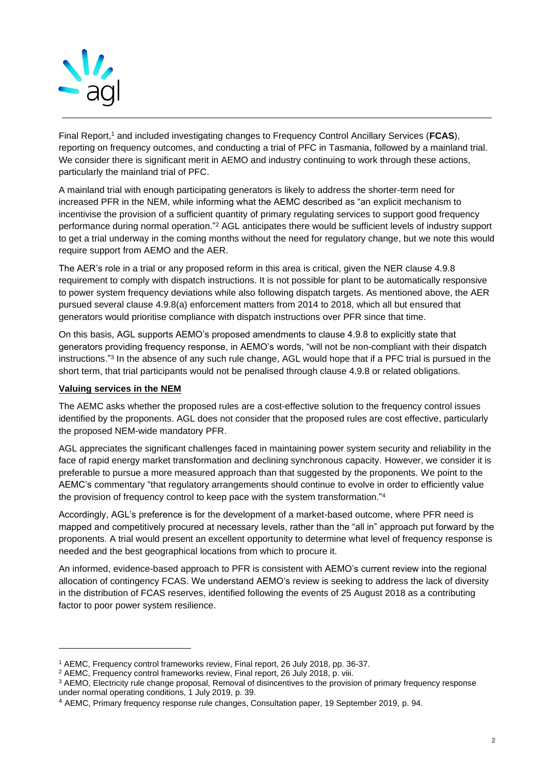

Final Report,<sup>1</sup> and included investigating changes to Frequency Control Ancillary Services (FCAS), reporting on frequency outcomes, and conducting a trial of PFC in Tasmania, followed by a mainland trial. We consider there is significant merit in AEMO and industry continuing to work through these actions, particularly the mainland trial of PFC.

A mainland trial with enough participating generators is likely to address the shorter-term need for increased PFR in the NEM, while informing what the AEMC described as "an explicit mechanism to incentivise the provision of a sufficient quantity of primary regulating services to support good frequency performance during normal operation."<sup>2</sup> AGL anticipates there would be sufficient levels of industry support to get a trial underway in the coming months without the need for regulatory change, but we note this would require support from AEMO and the AER.

The AER's role in a trial or any proposed reform in this area is critical, given the NER clause 4.9.8 requirement to comply with dispatch instructions. It is not possible for plant to be automatically responsive to power system frequency deviations while also following dispatch targets. As mentioned above, the AER pursued several clause 4.9.8(a) enforcement matters from 2014 to 2018, which all but ensured that generators would prioritise compliance with dispatch instructions over PFR since that time.

On this basis, AGL supports AEMO's proposed amendments to clause 4.9.8 to explicitly state that generators providing frequency response, in AEMO's words, "will not be non-compliant with their dispatch instructions."<sup>3</sup> In the absence of any such rule change, AGL would hope that if a PFC trial is pursued in the short term, that trial participants would not be penalised through clause 4.9.8 or related obligations.

## **Valuing services in the NEM**

The AEMC asks whether the proposed rules are a cost-effective solution to the frequency control issues identified by the proponents. AGL does not consider that the proposed rules are cost effective, particularly the proposed NEM-wide mandatory PFR.

AGL appreciates the significant challenges faced in maintaining power system security and reliability in the face of rapid energy market transformation and declining synchronous capacity. However, we consider it is preferable to pursue a more measured approach than that suggested by the proponents. We point to the AEMC's commentary "that regulatory arrangements should continue to evolve in order to efficiently value the provision of frequency control to keep pace with the system transformation."<sup>4</sup>

Accordingly, AGL's preference is for the development of a market-based outcome, where PFR need is mapped and competitively procured at necessary levels, rather than the "all in" approach put forward by the proponents. A trial would present an excellent opportunity to determine what level of frequency response is needed and the best geographical locations from which to procure it.

An informed, evidence-based approach to PFR is consistent with AEMO's current review into the regional allocation of contingency FCAS. We understand AEMO's review is seeking to address the lack of diversity in the distribution of FCAS reserves, identified following the events of 25 August 2018 as a contributing factor to poor power system resilience.

<sup>1</sup> AEMC, Frequency control frameworks review, Final report, 26 July 2018, pp. 36-37.

<sup>&</sup>lt;sup>2</sup> AEMC, Frequency control frameworks review, Final report, 26 July 2018, p. viii.

<sup>&</sup>lt;sup>3</sup> AEMO, Electricity rule change proposal, Removal of disincentives to the provision of primary frequency response under normal operating conditions, 1 July 2019, p. 39.

<sup>4</sup> AEMC, Primary frequency response rule changes, Consultation paper, 19 September 2019, p. 94.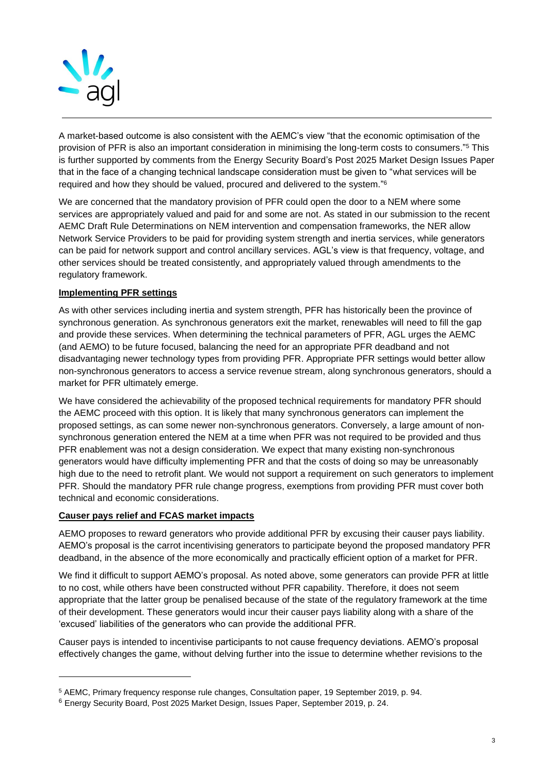

A market-based outcome is also consistent with the AEMC's view "that the economic optimisation of the provision of PFR is also an important consideration in minimising the long-term costs to consumers."<sup>5</sup> This is further supported by comments from the Energy Security Board's Post 2025 Market Design Issues Paper that in the face of a changing technical landscape consideration must be given to "what services will be required and how they should be valued, procured and delivered to the system." 6

We are concerned that the mandatory provision of PFR could open the door to a NEM where some services are appropriately valued and paid for and some are not. As stated in our submission to the recent AEMC Draft Rule Determinations on NEM intervention and compensation frameworks, the NER allow Network Service Providers to be paid for providing system strength and inertia services, while generators can be paid for network support and control ancillary services. AGL's view is that frequency, voltage, and other services should be treated consistently, and appropriately valued through amendments to the regulatory framework.

# **Implementing PFR settings**

As with other services including inertia and system strength, PFR has historically been the province of synchronous generation. As synchronous generators exit the market, renewables will need to fill the gap and provide these services. When determining the technical parameters of PFR, AGL urges the AEMC (and AEMO) to be future focused, balancing the need for an appropriate PFR deadband and not disadvantaging newer technology types from providing PFR. Appropriate PFR settings would better allow non-synchronous generators to access a service revenue stream, along synchronous generators, should a market for PFR ultimately emerge.

We have considered the achievability of the proposed technical requirements for mandatory PFR should the AEMC proceed with this option. It is likely that many synchronous generators can implement the proposed settings, as can some newer non-synchronous generators. Conversely, a large amount of nonsynchronous generation entered the NEM at a time when PFR was not required to be provided and thus PFR enablement was not a design consideration. We expect that many existing non-synchronous generators would have difficulty implementing PFR and that the costs of doing so may be unreasonably high due to the need to retrofit plant. We would not support a requirement on such generators to implement PFR. Should the mandatory PFR rule change progress, exemptions from providing PFR must cover both technical and economic considerations.

### **Causer pays relief and FCAS market impacts**

AEMO proposes to reward generators who provide additional PFR by excusing their causer pays liability. AEMO's proposal is the carrot incentivising generators to participate beyond the proposed mandatory PFR deadband, in the absence of the more economically and practically efficient option of a market for PFR.

We find it difficult to support AEMO's proposal. As noted above, some generators can provide PFR at little to no cost, while others have been constructed without PFR capability. Therefore, it does not seem appropriate that the latter group be penalised because of the state of the regulatory framework at the time of their development. These generators would incur their causer pays liability along with a share of the 'excused' liabilities of the generators who can provide the additional PFR.

Causer pays is intended to incentivise participants to not cause frequency deviations. AEMO's proposal effectively changes the game, without delving further into the issue to determine whether revisions to the

<sup>5</sup> AEMC, Primary frequency response rule changes, Consultation paper, 19 September 2019, p. 94.

<sup>6</sup> Energy Security Board, Post 2025 Market Design, Issues Paper, September 2019, p. 24.